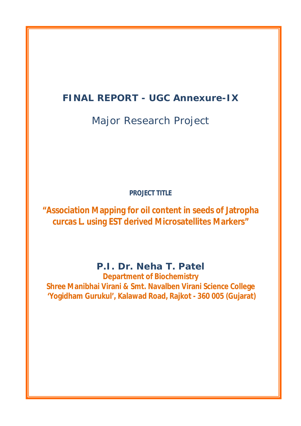# **FINAL REPORT - UGC Annexure-IX**

Major Research Project

**PROJECT TITLE**

**"Association Mapping for oil content in seeds of Jatropha curcas L. using EST derived Microsatellites Markers"**

**P.I. Dr. Neha T. Patel**

**Department of Biochemistry Shree Manibhai Virani & Smt. Navalben Virani Science College 'Yogidham Gurukul', Kalawad Road, Rajkot - 360 005 (Gujarat)**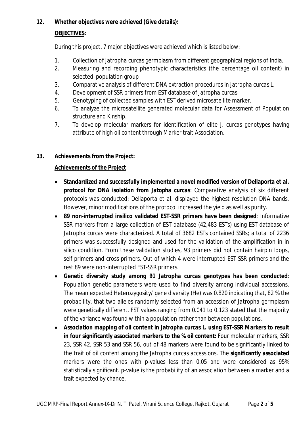# **12. Whether objectives were achieved (Give details):**

# **OBJECTIVES:**

During this project, 7 major objectives were achieved which is listed below:

- 1. Collection of *Jatropha curcas* germplasm from different geographical regions of India.
- 2. Measuring and recording phenotypic characteristics (the percentage oil content) in selected population group
- 3. Comparative analysis of different DNA extraction procedures in *Jatropha curcas* L.
- 4. Development of SSR primers from EST database of *Jatropha curcas*
- 5. Genotyping of collected samples with EST derived microsatellite marker.
- 6. To analyze the microsatellite generated molecular data for Assessment of Population structure and Kinship.
- 7. To develop molecular markers for identification of elite *J. curcas* genotypes having attribute of high oil content through Marker trait Association.

# **13. Achievements from the Project:**

# **Achievements of the Project**

- **Standardized and successfully implemented a novel modified version of Dellaporta** *et al.* **protocol for DNA isolation from** *Jatopha curcas*: Comparative analysis of six different protocols was conducted; Dellaporta *et al.* displayed the highest resolution DNA bands. However, minor modifications of the protocol increased the yield as well as purity.
- **89 non-interrupted insilico validated EST-SSR primers have been designed**: Informative SSR markers from a large collection of EST database (42,483 ESTs) using EST database of *Jatropha curcas* were characterized. A total of 3682 ESTs contained SSRs; a total of 2236 primers was successfully designed and used for the validation of the amplification in *in silico* condition. From these validation studies, 93 primers did not contain hairpin loops, self-primers and cross primers. Out of which 4 were interrupted EST-SSR primers and the rest 89 were non-interrupted EST-SSR primers.
- **Genetic diversity study among 91** *Jatropha curcas* **genotypes has been conducted**: Population genetic parameters were used to find diversity among individual accessions. The mean expected Heterozygosity/ gene diversity (He) was 0.820 indicating that, 82 % the probability, that two alleles randomly selected from an accession of *Jatropha* germplasm were genetically different. FST values ranging from 0.041 to 0.123 stated that the majority of the variance was found within a population rather than between populations.
- **Association mapping of oil content in** *Jatropha curcas* **L. using EST-SSR Markers to result in four significantly associated markers to the % oil content:** Four molecular markers, SSR 23, SSR 42, SSR 53 and SSR 56, out of 48 markers were found to be significantly linked to the trait of oil content among the *Jatropha curcas* accessions. The **significantly associated**  markers were the ones with p-values less than 0.05 and were considered as 95% statistically significant. p-value is the probability of an association between a marker and a trait expected by chance.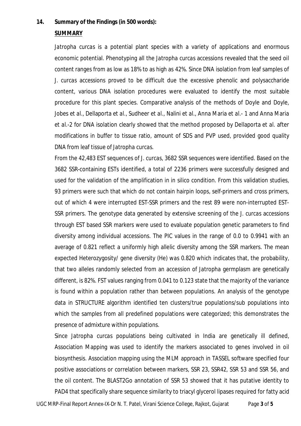## **14. Summary of the Findings (in 500 words):**

#### **SUMMARY**

*Jatropha curcas* is a potential plant species with a variety of applications and enormous economic potential. Phenotyping all the *Jatropha curcas* accessions revealed that the seed oil content ranges from as low as 18% to as high as 42%. Since DNA isolation from leaf samples of *J. curcas* accessions proved to be difficult due the excessive phenolic and polysaccharide content, various DNA isolation procedures were evaluated to identify the most suitable procedure for this plant species. Comparative analysis of the methods of Doyle and Doyle, Jobes *et al.*, Dellaporta *et al.*, Sudheer *et al.*, Nalini *et al.*, Anna Maria *et al.*- 1 and Anna Maria *et al.*-2 for DNA isolation clearly showed that the method proposed by Dellaporta *et al*. after modifications in buffer to tissue ratio, amount of SDS and PVP used, provided good quality DNA from leaf tissue of *Jatropha curcas*.

From the 42,483 EST sequences of *J. curcas,* 3682 SSR sequences were identified. Based on the 3682 SSR-containing ESTs identified, a total of 2236 primers were successfully designed and used for the validation of the amplification in *in silico* condition. From this validation studies, 93 primers were such that which do not contain hairpin loops, self-primers and cross primers, out of which 4 were interrupted EST-SSR primers and the rest 89 were non-interrupted EST-SSR primers. The genotype data generated by extensive screening of the *J. curcas* accessions through EST based SSR markers were used to evaluate population genetic parameters to find diversity among individual accessions. The PIC values in the range of 0.0 to 0.9941 with an average of 0.821 reflect a uniformly high allelic diversity among the SSR markers. The mean expected Heterozygosity/ gene diversity (He) was 0.820 which indicates that, the probability, that two alleles randomly selected from an accession of *Jatropha* germplasm are genetically different, is 82%. FST values ranging from 0.041 to 0.123 state that the majority of the variance is found within a population rather than between populations. An analysis of the genotype data in STRUCTURE algorithm identified ten clusters/true populations/sub populations into which the samples from all predefined populations were categorized; this demonstrates the presence of admixture within populations.

Since *Jatropha curcas* populations being cultivated in India are genetically ill defined, Association Mapping was used to identify the markers associated to genes involved in oil biosynthesis. Association mapping using the MLM approach in TASSEL software specified four positive associations or correlation between markers, SSR 23, SSR42, SSR 53 and SSR 56, and the oil content. The BLAST2Go annotation of SSR 53 showed that it has putative identity to PAD4 that specifically share sequence similarity to triacyl glycerol lipases required for fatty acid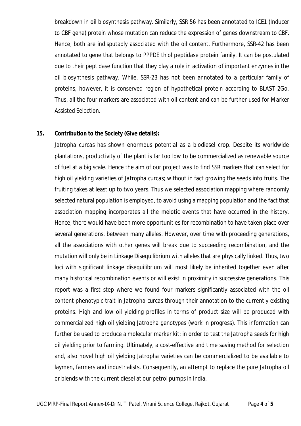breakdown in oil biosynthesis pathway. Similarly, SSR 56 has been annotated to ICE1 (Inducer to CBF gene) protein whose mutation can reduce the expression of genes downstream to CBF. Hence, both are indisputably associated with the oil content. Furthermore, SSR-42 has been annotated to gene that belongs to PPPDE thiol peptidase protein family. It can be postulated due to their peptidase function that they play a role in activation of important enzymes in the oil biosynthesis pathway. While, SSR-23 has not been annotated to a particular family of proteins, however, it is conserved region of hypothetical protein according to BLAST 2Go. Thus, all the four markers are associated with oil content and can be further used for Marker Assisted Selection.

#### **15. Contribution to the Society (Give details):**

*Jatropha curcas* has shown enormous potential as a biodiesel crop. Despite its worldwide plantations, productivity of the plant is far too low to be commercialized as renewable source of fuel at a big scale. Hence the aim of our project was to find SSR markers that can select for high oil yielding varieties of *Jatropha curcas*; without in fact growing the seeds into fruits. The fruiting takes at least up to two years. Thus we selected association mapping where randomly selected natural population is employed, to avoid using a mapping population and the fact that association mapping incorporates all the meiotic events that have occurred in the history. Hence, there would have been more opportunities for recombination to have taken place over several generations, between many alleles. However, over time with proceeding generations, all the associations with other genes will break due to succeeding recombination, and the mutation will only be in Linkage Disequilibrium with alleles that are physically linked. Thus, two loci with significant linkage disequilibrium will most likely be inherited together even after many historical recombination events or will exist in proximity in successive generations. This report was a first step where we found four markers significantly associated with the oil content phenotypic trait in *Jatropha curcas* through their annotation to the currently existing proteins. High and low oil yielding profiles in terms of product size will be produced with commercialized high oil yielding *Jatropha* genotypes (work in progress). This information can further be used to produce a molecular marker kit; in order to test the *Jatropha* seeds for high oil yielding prior to farming. Ultimately, a cost-effective and time saving method for selection and, also novel high oil yielding *Jatropha* varieties can be commercialized to be available to laymen, farmers and industrialists. Consequently, an attempt to replace the pure *Jatropha* oil or blends with the current diesel at our petrol pumps in India.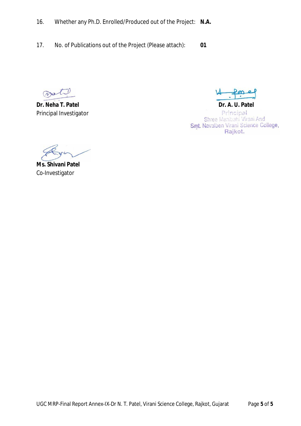- 16. Whether any Ph.D. Enrolled/Produced out of the Project: **N.A.**
- 17. No. of Publications out of the Project (Please attach): **01**

Wet.

**Dr. Neha T. Patel Dr. A. U. Patel** Principal Investigator

Principal Shree Manibahi Virani And<br>Smt. Navalben Virani Science College, Rajkot.

**Ms. Shivani Patel** Co-Investigator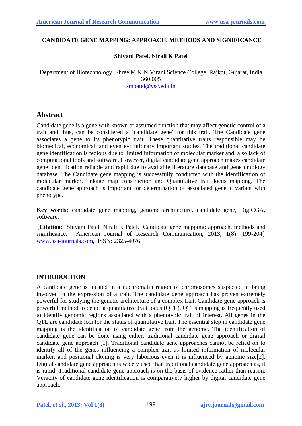#### **CANDIDATE GENE MAPPING: APPROACH, METHODS AND SIGNIFICANCE**

## **Shivani Patel, Nirali K Patel**

Department of Biotechnology, Shree M & N Virani Science College, Rajkot, Gujarat, India 360 005 [smpatel@vsc.edu.in](mailto:smpatel@vsc.edu.in)

# **Abstract**

Candidate gene is a gene with known or assumed function that may affect genetic control of a trait and thus, can be considered a 'candidate gene' for this trait. The Candidate gene associates a gene to its phenotypic trait. These quantitative traits responsible may be biomedical, economical, and even evolutionary important studies. The traditional candidate gene identification is tedious due to limited information of molecular marker and, also lack of computational tools and software. However, digital candidate gene approach makes candidate gene identification reliable and rapid due to available literature database and gene ontology database. The Candidate gene mapping is successfully conducted with the identification of molecular marker, linkage map construction and Quantitative trait locus mapping. The candidate gene approach is important for determination of associated genetic variant with phenotype.

**Key words:** candidate gene mapping, genome architecture, candidate gene, DigiCGA, software.

{**Citation:** Shivani Patel, Nirali K Patel. Candidate gene mapping: approach, methods and significance. American Journal of Research Communication, 2013, 1(8): 199-204} [www.usa-journals.com](http://www.usa-journals.com/), ISSN: 2325-4076.

#### **INTRODUCTION**

A candidate gene is located in a euchromatin region of chromosomes suspected of being involved in the expression of a trait. The candidate gene approach has proven extremely powerful for studying the genetic architecture of a complex trait. Candidate gene approach is powerful method to detect a quantitative trait locus (QTL). QTLs mapping is frequently used to identify genomic regions associated with a phenotypic trait of interest. All genes in the QTL are candidate loci for the status of quantitative trait. The essential step in candidate gene mapping is the identification of candidate gene from the genome. The identification of candidate gene can be done using either, traditional candidate gene approach or digital candidate gene approach [1]. Traditional candidate gene approaches cannot be relied on to identify all of the genes influencing a complex trait as limited information of molecular marker, and positional cloning is very laborious even it is influenced by genome size[2]. Digital candidate gene approach is widely used than traditional candidate gene approach as, it is rapid. Traditional candidate gene approach is on the basis of evidence rather than reason. Veracity of candidate gene identification is comparatively higher by digital candidate gene approach.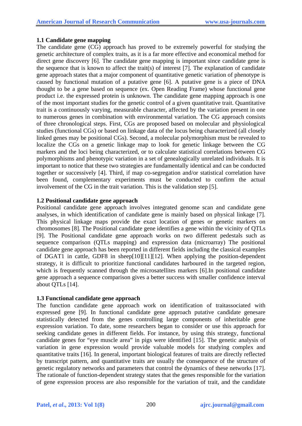## **1.1 Candidate gene mapping**

The candidate gene (CG) approach has proved to be extremely powerful for studying the genetic architecture of complex traits, as it is a far more effective and economical method for direct gene discovery [6]. The candidate gene mapping is important since candidate gene is the sequence that is known to affect the trait(s) of interest [7]. The explanation of candidate gene approach states that a major component of quantitative genetic variation of phenotype is caused by functional mutation of a putative gene [6]. A putative gene is a piece of DNA thought to be a gene based on sequence (ex. Open Reading Frame) whose functional gene product i.e. the expressed protein is unknown. The candidate gene mapping approach is one of the most important studies for the genetic control of a given quantitative trait. Quantitative trait is a continuously varying, measurable character, affected by the variation present in one to numerous genes in combination with environmental variation. The CG approach consists of three chronological steps. First, CGs are proposed based on molecular and physiological studies (functional CGs) or based on linkage data of the locus being characterized (all closely linked genes may be positional CGs). Second, a molecular polymorphism must be revealed to localize the CGs on a genetic linkage map to look for genetic linkage between the CG markers and the loci being characterized, or to calculate statistical correlations between CG polymorphisms and phenotypic variation in a set of genealogically unrelated individuals. It is important to notice that these two strategies are fundamentally identical and can be conducted together or successively [4]. Third, if map co-segregation and/or statistical correlation have been found, complementary experiments must be conducted to confirm the actual involvement of the CG in the trait variation. This is the validation step [5].

## **1.2 Positional candidate gene approach**

Positional candidate gene approach involves integrated genome scan and candidate gene analyses, in which identification of candidate gene is mainly based on physical linkage [7]. This physical linkage maps provide the exact location of genes or genetic markers on chromosomes [8]. The Positional candidate gene identifies a gene within the vicinity of QTLs [9]. The Positional candidate gene approach works on two different pedestals such as sequence comparison (QTLs mapping) and expression data (microarray) The positional candidate gene approach has been reported in different fields including the classical examples of DGAT1 in cattle, GDF8 in sheep[10][11][12]. When applying the position-dependent strategy, it is difficult to prioritize functional candidates harboured in the targeted region, which is frequently scanned through the microsatellites markers [6]. In positional candidate gene approach a sequence comparison gives a better success with smaller confidence interval about QTLs [14].

#### **1.3 Functional candidate gene approach**

The function candidate gene approach work on identification of traitassociated with expressed gene [9]. In functional candidate gene approach putative candidate genesare statistically detected from the genes controlling large components of inheritable gene expression variation. To date, some researchers began to consider or use this approach for seeking candidate genes in different fields. For instance, by using this strategy, functional candidate genes for "eye muscle area" in pigs were identified [15]. The genetic analysis of variation in gene expression would provide valuable models for studying complex and quantitative traits [16]. In general, important biological features of traits are directly reflected by transcript pattern, and quantitative traits are usually the consequence of the structure of genetic regulatory networks and parameters that control the dynamics of these networks [17]. The rationale of function-dependent strategy states that the genes responsible for the variation of gene expression process are also responsible for the variation of trait, and the candidate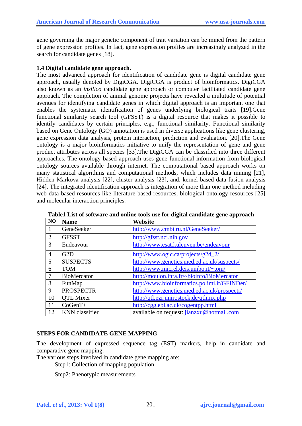gene governing the major genetic component of trait variation can be mined from the pattern of gene expression profiles. In fact, gene expression profiles are increasingly analyzed in the search for candidate genes [18].

#### **1.4 Digital candidate gene approach.**

The most advanced approach for identification of candidate gene is digital candidate gene approach, usually denoted by DigiCGA. DigiCGA is product of bioinformatics. DigiCGA also known as an *insilico* candidate gene approach or computer facilitated candidate gene approach. The completion of animal genome projects have revealed a multitude of potential avenues for identifying candidate genes in which digital approach is an important one that enables the systematic identification of genes underlying biological traits [19].Gene functional similarity search tool (GFSST) is a digital resource that makes it possible to identify candidates by certain principles, e.g., functional similarity. Functional similarity based on Gene Ontology (GO) annotation is used in diverse applications like gene clustering, gene expression data analysis, protein interaction, prediction and evaluation. [20].The Gene ontology is a major bioinformatics initiative to unify the representation of gene and gene product attributes across all species [33].The DigiCGA can be classified into three different approaches. The ontology based approach uses gene functional information from biological ontology sources available through internet. The computational based approach works on many statistical algorithms and computational methods, which includes data mining [21], Hidden Markova analysis [22], cluster analysis [23], and, kernel based data fusion analysis [24]. The integrated identification approach is integration of more than one method including web data based resources like literature based resources, biological ontology resources [25] and molecular interaction principles.

| N <sub>O</sub> | <b>Name</b>           | Website                                      |
|----------------|-----------------------|----------------------------------------------|
|                | GeneSeeker            | http://www.cmbi.ru.nl/GeneSeeker/            |
| 2              | <b>GFSST</b>          | http://gfsst.nci.nih.gov                     |
| 3              | Endeavour             | http://www.esat.kuleuven.be/endeavour        |
| $\overline{4}$ | G2D                   | http://www.ogic.ca/projects/g2d_2/           |
| 5              | <b>SUSPECTS</b>       | http://www.genetics.med.ed.ac.uk/suspects/   |
| 6              | <b>TOM</b>            | http://www.micrel.deis.unibo.it/~tom/        |
| -7             | <b>BioMercator</b>    | http://moulon.inra.fr/~bioinfo/BioMercator   |
| 8              | FunMap                | http://www.bioinformatics.polimi.it/GFINDer/ |
| 9              | <b>PROSPECTR</b>      | http://www.genetics.med.ed.ac.uk/prospectr/  |
| 10             | <b>OTL Mixer</b>      | http://qtl.pzr.unirostock.de/qtlmix.php      |
| 11             | $CoGenT++$            | http://cgg.ebi.ac.uk/cogentpp.html           |
| 12             | <b>KNN</b> classifier | available on request: jianzxu@hotmail.com    |

**Table1 List of software and online tools use for digital candidate gene approach** 

#### **STEPS FOR CANDIDATE GENE MAPPING**

The development of expressed sequence tag (EST) markers, help in candidate and comparative gene mapping.

The various steps involved in candidate gene mapping are:

Step1: Collection of mapping population

Step2: Phenotypic measurements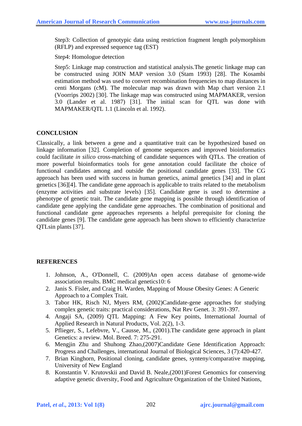Step3: Collection of genotypic data using restriction fragment length polymorphism (RFLP) and expressed sequence tag (EST)

## Step4: Homologue detection

Step5: Linkage map construction and statistical analysis.The genetic linkage map can be constructed using JOIN MAP version 3.0 (Stam 1993) [28]. The Kosambi estimation method was used to convert recombination frequencies to map distances in centi Morgans (cM). The molecular map was drawn with Map chart version 2.1 (Voorrips 2002) [30]. The linkage map was constructed using MAPMAKER, version 3.0 (Lander et al. 1987) [31]. The initial scan for QTL was done with MAPMAKER/QTL 1.1 (Lincoln et al. 1992).

# **CONCLUSION**

Classically, a link between a gene and a quantitative trait can be hypothesized based on linkage information [32]. Completion of genome sequences and improved bioinformatics could facilitate *in silico* cross-matching of candidate sequences with QTLs. The creation of more powerful bioinformatics tools for gene annotation could facilitate the choice of functional candidates among and outside the positional candidate genes [33]. The CG approach has been used with success in human genetics, animal genetics [34] and in plant genetics [36][4]. The candidate gene approach is applicable to traits related to the metabolism (enzyme activities and substrate levels) [35]. Candidate gene is used to determine a phenotype of genetic trait. The candidate gene mapping is possible through identification of candidate gene applying the candidate gene approaches. The combination of positional and functional candidate gene approaches represents a helpful prerequisite for cloning the candidate genes [9]. The candidate gene approach has been shown to efficiently characterize QTLsin plants [37].

# **REFERENCES**

- 1. Johnson, A., O'Donnell, C. (2009)An open access database of genome-wide association results. BMC medical genetics10: 6
- 2. [Janis S. Fisler,](http://jn.nutrition.org/search?author1=Janis+S.+Fisler&sortspec=date&submit=Submit) and [Craig H. Warden,](http://jn.nutrition.org/search?author1=Craig+H.+Warden&sortspec=date&submit=Submit) Mapping of Mouse Obesity Genes: A Generic Approach to a Complex Trait.
- 3. Tabor HK, Risch NJ, Myers RM, (2002)Candidate-gene approaches for studying complex genetic traits: practical considerations, Nat Rev Genet. 3: 391-397.
- 4. Angaji SA, (2009) QTL Mapping: A Few Key points, International Journal of Applied Research in Natural Products, Vol. 2(2), 1-3.
- 5. Pflieger, S., Lefebvre, V., Causse, M., (2001).The candidate gene approach in plant Genetics: a review. Mol. Breed. 7: 275-291.
- 6. Mengjin Zhu and Shuhong Zhao,(2007)Candidate Gene Identification Approach: Progress and Challenges, international Journal of Biological Sciences, 3 (7):420-427.
- 7. Brian Kinghorn, Positional cloning, candidate genes, synteny/comparative mapping, University of New England
- 8. Konstantin V. Krutovskii and David B. Neale,(2001)Forest Genomics for conserving adaptive genetic diversity, Food and Agriculture Organization of the United Nations,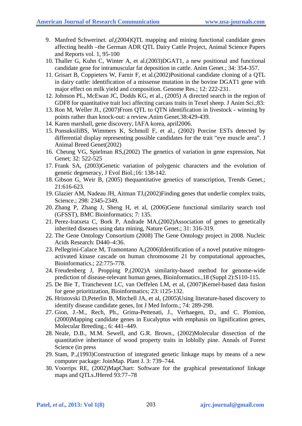- 9. Manfred Schwerin*et. al*,(2004)QTL mapping and mining functional candidate genes affecting health –the German ADR QTL Dairy Cattle Project, Animal Science Papers and Reports vol. 1, 95-100
- 10. Thaller G, Kuhn C, Winter A, et al.(2003)DGAT1, a new positional and functional candidate gene for intramuscular fat deposition in cattle. Anim Genet.; 34: 354-357.
- 11. Grisart B, Coppieters W, Farnir F, et al.(2002)Positional candidate cloning of a QTL in dairy cattle: identification of a missense mutation in the bovine DGAT1 gene with major effect on milk yield and composition. Genome Res.; 12: 222-231.
- 12. Johnson PL, McEwan JC, Dodds KG, et al., (2005) A directed search in the region of GDF8 for quantitative trait loci affecting carcass traits in Texel sheep. J Anim Sci.;83:
- 13. Ron M, Weller JI., (2007)From QTL to QTN identification in livestock winning by points rather than knock-out: a review.Anim Genet.38:429-439.
- 14. Karen marshall, gene discovery, IAFA korea, april2006.
- 15. PonsuksiliBS, Wimmers K, Schmoll F, et al., (2002) Porcine ESTs detected by differential display representing possible candidates for the trait "eye muscle area". J Animal Breed Genet(2002)
- 16. Cheung VG, Spielman RS,(2002) The genetics of variation in gene expression, Nat Genet; 32: 522-525
- 17. Frank SA, (2003)Genetic variation of polygenic characters and the evolution of genetic degeneracy, J Evol Biol.;16: 138-142.
- 18. Gibson G, Weir B, (2005) thequantitative genetics of transcription, Trends Genet.; 21:616-623.
- 19. Glazier AM, Nadeau JH, Aitman TJ,(2002)Finding genes that underlie complex traits, Science.; 298: 2345-2349.
- 20. Zhang P, Zhang J, Sheng H, et al, (2006)Gene functional similarity search tool (GFSST), BMC Bioinformatics; 7: 135.
- 21. Perez-Iratxeta C, Bork P, Andrade MA,(2002)Association of genes to genetically inherited diseases using data mining, Nature Genet.; 31: 316-319.
- 22. The Gene Ontology Consortium (2008) The Gene Ontology project in 2008. Nucleic Acids Research: D440–4:36.
- 23. Pellegrini-Calace M, Tramontano A,(2006)Identification of a novel putative mitogenactivated kinase cascade on human chromosome 21 by computational approaches, Bioinformatics.; 22:775-778.
- 24. Freudenberg J, Propping P,(2002)A similarity-based method for genome-wide prediction of disease-relevant human genes, Bioinformatics.,18 (Suppl 2):S110-115.
- 25. De Bie T, Tranchevent LC, van Oeffelen LM, et al, (2007)Kernel-based data fusion for gene prioritization, Bioinformatics; 23: i125-132.
- 26. Hristovski D,Peterlin B, Mitchell JA, et al, (2005)Using literature-based discovery to identify disease candidate genes, Int J Med Inform.; 74: 289-298.
- 27. Gion, J.-M., Rech, Ph., Grima-Pettenati, J., Verhaegen, D., and C. Plomion, (2000)Mapping candidate genes in Eucalyptus with emphasis on lignification genes, Molecular Breeding.; 6: 441–449.
- 28. Neale, D.B., M.M. Sewell, and G.R. Brown., (2002)Molecular dissection of the quantitative inheritance of wood property traits in loblolly pine. Annals of Forest Science (in press
- 29. Stam, P.,(1993)Construction of integrated genetic linkage maps by means of a new computer package: JoinMap. Plant J. 3: 739–744.
- 30. Voorrips RE, (2002)MapChart: Software for the graphical presentationof linkage maps and QTLs.JHered 93:77–78